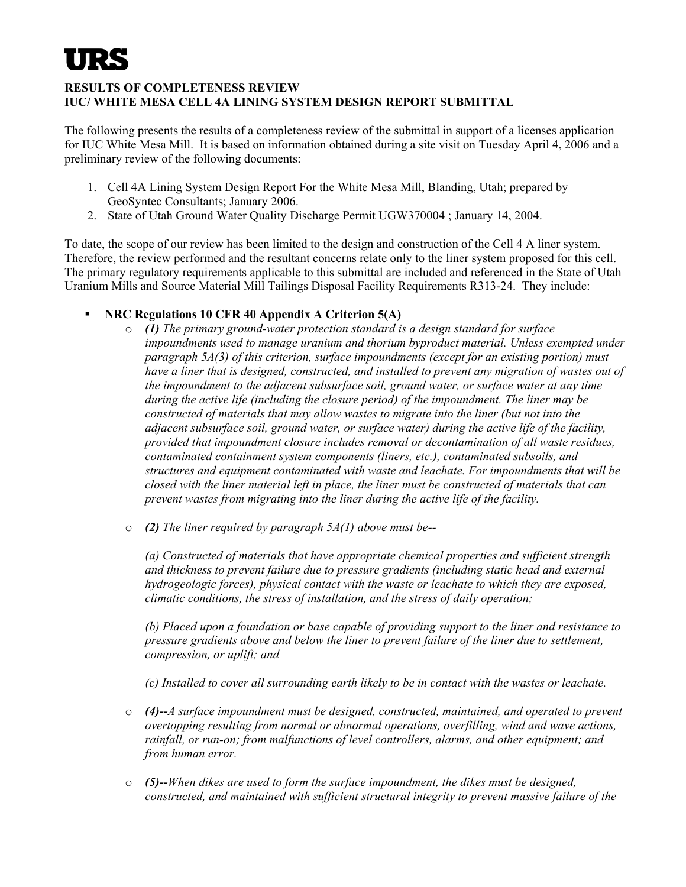## **RESULTS OF COMPLETENESS REVIEW IUC/ WHITE MESA CELL 4A LINING SYSTEM DESIGN REPORT SUBMITTAL**

The following presents the results of a completeness review of the submittal in support of a licenses application for IUC White Mesa Mill. It is based on information obtained during a site visit on Tuesday April 4, 2006 and a preliminary review of the following documents:

- 1. Cell 4A Lining System Design Report For the White Mesa Mill, Blanding, Utah; prepared by GeoSyntec Consultants; January 2006.
- 2. State of Utah Ground Water Quality Discharge Permit UGW370004 ; January 14, 2004.

To date, the scope of our review has been limited to the design and construction of the Cell 4 A liner system. Therefore, the review performed and the resultant concerns relate only to the liner system proposed for this cell. The primary regulatory requirements applicable to this submittal are included and referenced in the State of Utah Uranium Mills and Source Material Mill Tailings Disposal Facility Requirements R313-24. They include:

- **NRC Regulations 10 CFR 40 Appendix A Criterion 5(A)**
	- o *(1) The primary ground-water protection standard is a design standard for surface impoundments used to manage uranium and thorium byproduct material. Unless exempted under paragraph 5A(3) of this criterion, surface impoundments (except for an existing portion) must have a liner that is designed, constructed, and installed to prevent any migration of wastes out of the impoundment to the adjacent subsurface soil, ground water, or surface water at any time during the active life (including the closure period) of the impoundment. The liner may be constructed of materials that may allow wastes to migrate into the liner (but not into the adjacent subsurface soil, ground water, or surface water) during the active life of the facility, provided that impoundment closure includes removal or decontamination of all waste residues, contaminated containment system components (liners, etc.), contaminated subsoils, and structures and equipment contaminated with waste and leachate. For impoundments that will be closed with the liner material left in place, the liner must be constructed of materials that can prevent wastes from migrating into the liner during the active life of the facility.*
	- o *(2) The liner required by paragraph 5A(1) above must be--*

*(a) Constructed of materials that have appropriate chemical properties and sufficient strength and thickness to prevent failure due to pressure gradients (including static head and external hydrogeologic forces), physical contact with the waste or leachate to which they are exposed, climatic conditions, the stress of installation, and the stress of daily operation;* 

*(b) Placed upon a foundation or base capable of providing support to the liner and resistance to pressure gradients above and below the liner to prevent failure of the liner due to settlement, compression, or uplift; and* 

*(c) Installed to cover all surrounding earth likely to be in contact with the wastes or leachate.* 

- o *(4)--A surface impoundment must be designed, constructed, maintained, and operated to prevent overtopping resulting from normal or abnormal operations, overfilling, wind and wave actions, rainfall, or run-on; from malfunctions of level controllers, alarms, and other equipment; and from human error.*
- o *(5)--When dikes are used to form the surface impoundment, the dikes must be designed, constructed, and maintained with sufficient structural integrity to prevent massive failure of the*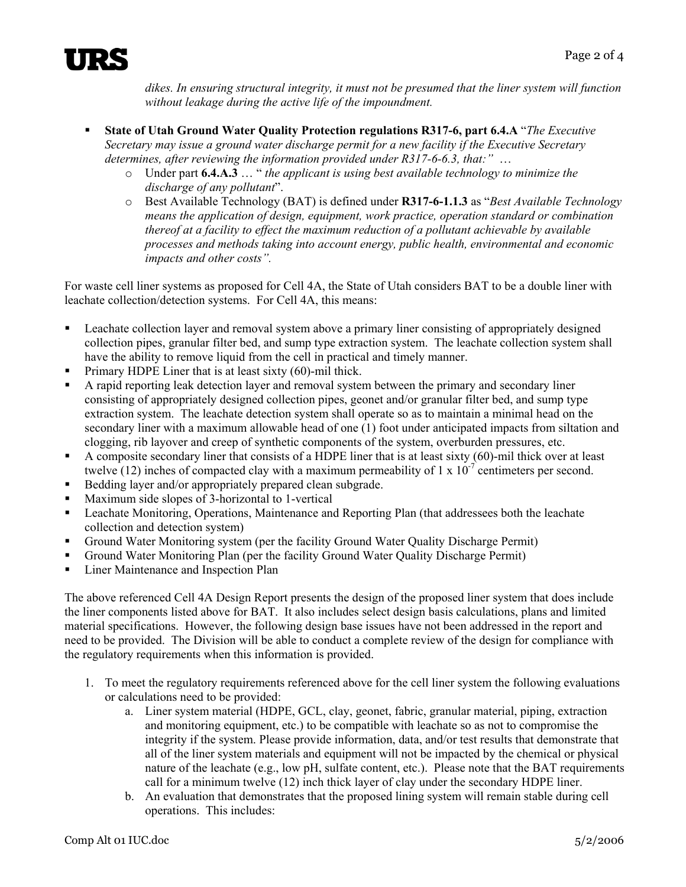

*dikes. In ensuring structural integrity, it must not be presumed that the liner system will function without leakage during the active life of the impoundment.* 

- **State of Utah Ground Water Quality Protection regulations R317-6, part 6.4.A** "*The Executive Secretary may issue a ground water discharge permit for a new facility if the Executive Secretary determines, after reviewing the information provided under R317-6-6.3, that:"* …
	- o Under part **6.4.A.3** … " *the applicant is using best available technology to minimize the discharge of any pollutant*".
	- o Best Available Technology (BAT) is defined under **R317-6-1.1.3** as "*Best Available Technology means the application of design, equipment, work practice, operation standard or combination thereof at a facility to effect the maximum reduction of a pollutant achievable by available processes and methods taking into account energy, public health, environmental and economic impacts and other costs".*

For waste cell liner systems as proposed for Cell 4A, the State of Utah considers BAT to be a double liner with leachate collection/detection systems. For Cell 4A, this means:

- Leachate collection layer and removal system above a primary liner consisting of appropriately designed collection pipes, granular filter bed, and sump type extraction system. The leachate collection system shall have the ability to remove liquid from the cell in practical and timely manner.
- **Primary HDPE Liner that is at least sixty (60)-mil thick.**
- A rapid reporting leak detection layer and removal system between the primary and secondary liner consisting of appropriately designed collection pipes, geonet and/or granular filter bed, and sump type extraction system. The leachate detection system shall operate so as to maintain a minimal head on the secondary liner with a maximum allowable head of one (1) foot under anticipated impacts from siltation and clogging, rib layover and creep of synthetic components of the system, overburden pressures, etc.
- A composite secondary liner that consists of a HDPE liner that is at least sixty (60)-mil thick over at least twelve (12) inches of compacted clay with a maximum permeability of 1 x  $10^{-7}$  centimeters per second.
- Bedding layer and/or appropriately prepared clean subgrade.
- Maximum side slopes of 3-horizontal to 1-vertical
- Leachate Monitoring, Operations, Maintenance and Reporting Plan (that addressees both the leachate collection and detection system)
- Ground Water Monitoring system (per the facility Ground Water Quality Discharge Permit)
- Ground Water Monitoring Plan (per the facility Ground Water Quality Discharge Permit)
- **Liner Maintenance and Inspection Plan**

The above referenced Cell 4A Design Report presents the design of the proposed liner system that does include the liner components listed above for BAT. It also includes select design basis calculations, plans and limited material specifications. However, the following design base issues have not been addressed in the report and need to be provided. The Division will be able to conduct a complete review of the design for compliance with the regulatory requirements when this information is provided.

- 1. To meet the regulatory requirements referenced above for the cell liner system the following evaluations or calculations need to be provided:
	- a. Liner system material (HDPE, GCL, clay, geonet, fabric, granular material, piping, extraction and monitoring equipment, etc.) to be compatible with leachate so as not to compromise the integrity if the system. Please provide information, data, and/or test results that demonstrate that all of the liner system materials and equipment will not be impacted by the chemical or physical nature of the leachate (e.g., low pH, sulfate content, etc.). Please note that the BAT requirements call for a minimum twelve (12) inch thick layer of clay under the secondary HDPE liner.
	- b. An evaluation that demonstrates that the proposed lining system will remain stable during cell operations. This includes: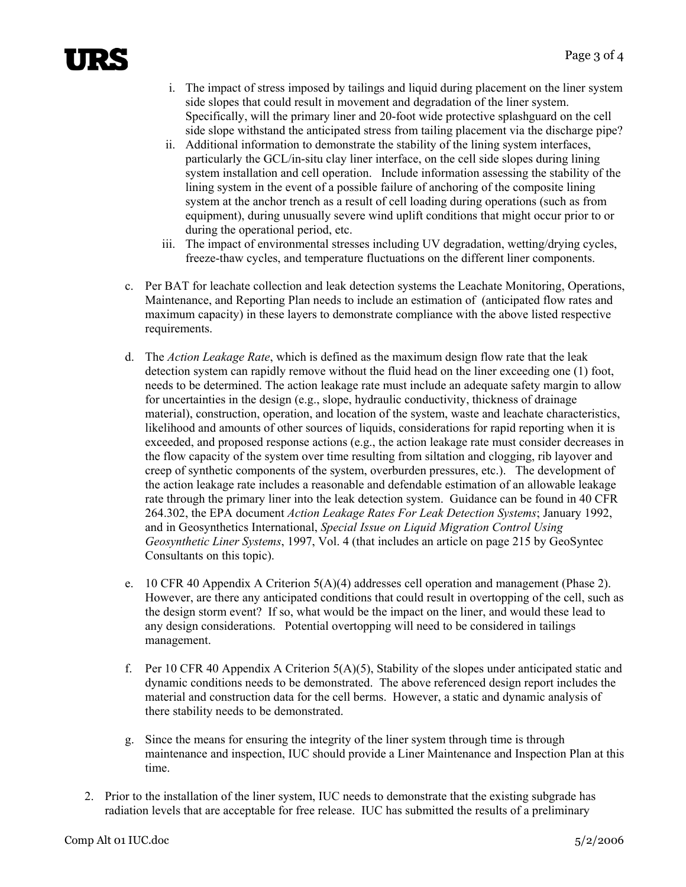## TI SE

- i. The impact of stress imposed by tailings and liquid during placement on the liner system side slopes that could result in movement and degradation of the liner system. Specifically, will the primary liner and 20-foot wide protective splashguard on the cell side slope withstand the anticipated stress from tailing placement via the discharge pipe?
- ii. Additional information to demonstrate the stability of the lining system interfaces, particularly the GCL/in-situ clay liner interface, on the cell side slopes during lining system installation and cell operation. Include information assessing the stability of the lining system in the event of a possible failure of anchoring of the composite lining system at the anchor trench as a result of cell loading during operations (such as from equipment), during unusually severe wind uplift conditions that might occur prior to or during the operational period, etc.
- iii. The impact of environmental stresses including UV degradation, wetting/drying cycles, freeze-thaw cycles, and temperature fluctuations on the different liner components.
- c. Per BAT for leachate collection and leak detection systems the Leachate Monitoring, Operations, Maintenance, and Reporting Plan needs to include an estimation of (anticipated flow rates and maximum capacity) in these layers to demonstrate compliance with the above listed respective requirements.
- d. The *Action Leakage Rate*, which is defined as the maximum design flow rate that the leak detection system can rapidly remove without the fluid head on the liner exceeding one (1) foot, needs to be determined. The action leakage rate must include an adequate safety margin to allow for uncertainties in the design (e.g., slope, hydraulic conductivity, thickness of drainage material), construction, operation, and location of the system, waste and leachate characteristics, likelihood and amounts of other sources of liquids, considerations for rapid reporting when it is exceeded, and proposed response actions (e.g., the action leakage rate must consider decreases in the flow capacity of the system over time resulting from siltation and clogging, rib layover and creep of synthetic components of the system, overburden pressures, etc.). The development of the action leakage rate includes a reasonable and defendable estimation of an allowable leakage rate through the primary liner into the leak detection system. Guidance can be found in 40 CFR 264.302, the EPA document *Action Leakage Rates For Leak Detection Systems*; January 1992, and in Geosynthetics International, *Special Issue on Liquid Migration Control Using Geosynthetic Liner Systems*, 1997, Vol. 4 (that includes an article on page 215 by GeoSyntec Consultants on this topic).
- e. 10 CFR 40 Appendix A Criterion 5(A)(4) addresses cell operation and management (Phase 2). However, are there any anticipated conditions that could result in overtopping of the cell, such as the design storm event? If so, what would be the impact on the liner, and would these lead to any design considerations. Potential overtopping will need to be considered in tailings management.
- f. Per 10 CFR 40 Appendix A Criterion  $5(A)(5)$ , Stability of the slopes under anticipated static and dynamic conditions needs to be demonstrated. The above referenced design report includes the material and construction data for the cell berms. However, a static and dynamic analysis of there stability needs to be demonstrated.
- g. Since the means for ensuring the integrity of the liner system through time is through maintenance and inspection, IUC should provide a Liner Maintenance and Inspection Plan at this time.
- 2. Prior to the installation of the liner system, IUC needs to demonstrate that the existing subgrade has radiation levels that are acceptable for free release. IUC has submitted the results of a preliminary